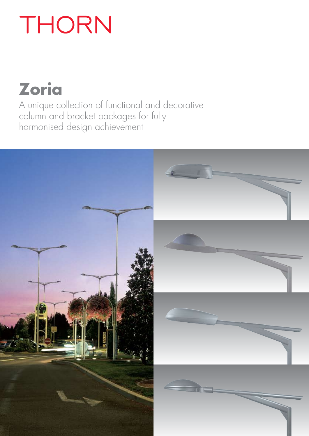# THORN

## **Zoria**

A unique collection of functional and decorative column and bracket packages for fully harmonised design achievement

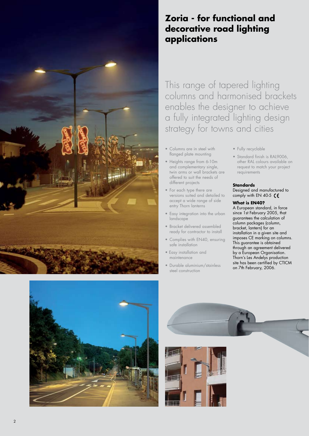

### **Zoria - for functional and decorative road lighting applications**

This range of tapered lighting columns and harmonised brackets enables the designer to achieve a fully integrated lighting design strategy for towns and cities

- Columns are in steel with flanged plate mounting
- Heights range from 6-10m and complementary single, twin arms or wall brackets are offered to suit the needs of different projects
- For each type there are versions suited and detailed to accept a wide range of side entry Thorn lanterns
- Easy integration into the urban landscape
- Bracket delivered assembled ready for contractor to install
- Complies with EN40, ensuring safe installation
- Easy installation and maintenance
- Durable aluminium/stainless steel construction
- Fully recyclable
- Standard finish is RAL9006. other RAL colours available on request to match your project requirements

#### **Standards**

Designed and manufactured to comply with EN 40-5  $\zeta$ 

#### **What is EN40?**

A European standard, in force since 1st February 2005, that guarantees the calculation of column packages (column, bracket, lantern) for an installation in a given site and imposes CE marking on columns. This guarantee is obtained through an agreement delivered by a European Organisation. Thorn's Les Andelys production site has been certified by CTICM on 7th February, 2006.



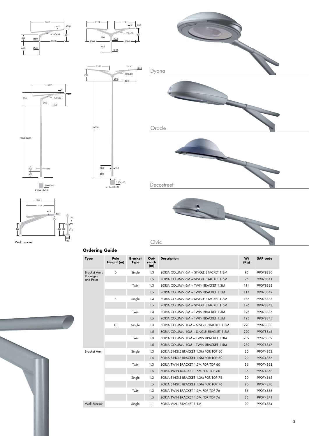

Civic

**Ordering Guide**

150 110

| <b>Type</b>                                  | Pole<br>Height (m) | <b>Bracket</b><br><b>Type</b> | Out-<br>reach<br>(m) | <b>Description</b>                     | Wt<br>(Kg) | <b>SAP</b> code |
|----------------------------------------------|--------------------|-------------------------------|----------------------|----------------------------------------|------------|-----------------|
| <b>Bracket Arms</b><br>Packages<br>and Poles | 6                  | Single                        | 1.3                  | ZORIA COLUMN 6M + SINGLE BRACKET 1.3M  | 95         | 99078830        |
|                                              |                    |                               | 1.5                  | ZORIA COLUMN 6M + SINGLE BRACKET 1.5M  | 95         | 99078841        |
|                                              |                    | Twin                          | 1.3                  | ZORIA COLUMN 6M + TWIN BRACKET 1.3M    | 114        | 99078832        |
|                                              |                    |                               | 1.5                  | ZORIA COLUMN 6M + TWIN BRACKET 1.5M    | 114        | 99078842        |
|                                              | 8                  | Single                        | 1.3                  | ZORIA COLUMN 8M + SINGLE BRACKET 1.3M  | 176        | 99078833        |
|                                              |                    |                               | 1.5                  | ZORIA COLUMN 8M + SINGLE BRACKET 1.5M  | 176        | 99078843        |
|                                              |                    | Twin                          | 1.3                  | ZORIA COLUMN 8M + TWIN BRACKET 1.3M    | 195        | 99078837        |
|                                              |                    |                               | 1.5                  | ZORIA COLUMN 8M + TWIN BRACKET 1.5M    | 195        | 99078845        |
|                                              | 10                 | Single                        | 1.3                  | ZORIA COLUMN 10M + SINGLE BRACKET 1.3M | 220        | 99078838        |
|                                              |                    |                               | 1.5                  | ZORIA COLUMN 10M + SINGLE BRACKET 1.5M | 220        | 99078846        |
|                                              |                    | Twin                          | 1.3                  | ZORIA COLUMN 10M + TWIN BRACKET 1.3M   | 239        | 99078839        |
|                                              |                    |                               | 1.5                  | ZORIA COLUMN 10M + TWIN BRACKET 1.5M   | 239        | 99078847        |
| <b>Bracket Arm</b>                           |                    | Single                        | 1.3                  | ZORIA SINGLE BRACKET 1.3M FOR TOP 60   | 20         | 99074862        |
|                                              |                    |                               | 1.5                  | ZORIA SINGLE BRACKET 1.5M FOR TOP 60   | 20         | 99074867        |
|                                              |                    | Twin                          | 1.3                  | ZORIA TWIN BRACKET 1.3M FOR TOP 60     | 36         | 99074863        |
|                                              |                    |                               | 1.5                  | ZORIA TWIN BRACKET 1.5M FOR TOP 60     | 36         | 99074868        |
|                                              |                    | Single                        | 1.3                  | ZORIA SINGLE BRACKET 1.3M FOR TOP 76   | 20         | 99074865        |
|                                              |                    |                               | 1.5                  | ZORIA SINGLE BRACKET 1.5M FOR TOP 76   | 20         | 99074870        |
|                                              |                    | Twin                          | 1.3                  | ZORIA TWIN BRACKET 1.3M FOR TOP 76     | 36         | 99074866        |
|                                              |                    |                               | 1.5                  | ZORIA TWIN BRACKET 1.5M FOR TOP 76     | 36         | 99074871        |
| <b>Wall Bracket</b>                          |                    | Single                        | 1.1                  | ZORIA WALL BRACKET 1.1M                | 20         | 99074864        |



Wall bracket